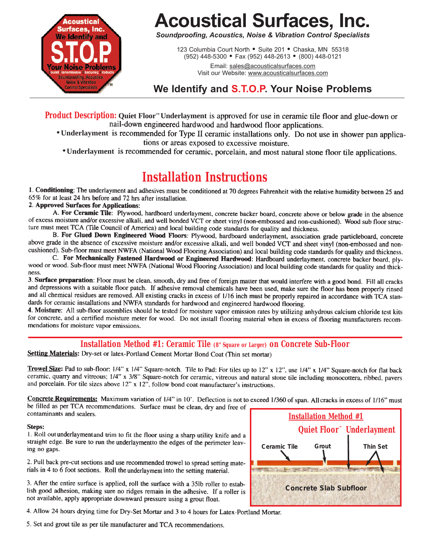

# **Acoustical Surfaces, Inc.**

*Soundproofing, Acoustics, Noise & Vibration Control Specialists*

123 Columbia Court North · Suite 201 · Chaska, MN 55318 (952) 448-5300 = Fax (952) 448-2613 = (800) 448-0121

> Email: sales@acousticalsurfaces.com Visit our Website: www.acousticalsurfaces.com

# **We Identify and S.T.O.P. Your Noise Problems**

**Product Description:** Quiet Floor<sup>™</sup> Underlayment is approved for use in ceramic tile floor and glue-down or nail-down engineered hardwood and hardwood floor applications.

• Underlayment is recommended for Type II ceramic installations only. Do not use in shower pan applications or areas exposed to excessive moisture.

• Underlayment is recommended for ceramic, porcelain, and most natural stone floor tile applications.

**Installation Instructions**<br>1. Conditioning: The underlayment and adhesives must be conditioned at 70 degrees Fahrenheit with the relative humidity between 25 and 65% for at least 24 hrs before and 72 hrs after installation.

2. Approved Surfaces for Applications:

A. For Ceramic Tile: Plywood, hardboard underlayment, concrete backer board, concrete above or below grade in the absence of excess moisture and/or excessive alkali, and well bonded VCT or sheet vinyl (non-embossed and non-cushioned). Wood sub floor structure must meet TCA (Tile Council of America) and local building code standards for quality and thickness.

B. For Glued Down Engineered Wood Floors: Plywood, hardboard underlayment, association grade particleboard, concrete above grade in the absence of excessive moisture and/or excessive alkali, and well bonded VCT and sheet vinyl (non-embossed and noncushioned). Sub-floor must meet NWFA (National Wood Flooring Association) and local building code standards for quality and thickness.

C. For Mechanically Fastened Hardwood or Engineered Hardwood: Hardboard underlayment, concrete backer board, plywood or wood. Sub-floor must meet NWFA (National Wood Flooring Association) and local building code standards for quality and thickness.

3. Surface preparation: Floor must be clean, smooth, dry and free of foreign matter that would interfere with a good bond. Fill all cracks and depressions with a suitable floor patch. If adhesive removal chemicals have been used, make sure the floor has been properly rinsed and all chemical residues are removed. All existing cracks in excess of 1/16 inch must be properly repaired in accordance with TCA standards for ceramic installations and NWFA standards for hardwood and engineered hardwood flooring.

4. Moisture: All sub-floor assemblies should be tested for moisture vapor emission rates by utilizing anhydrous calcium chloride test kits for concrete, and a certified moisture meter for wood. Do not install flooring material when in excess of flooring manufacturers recommendations for moisture vapor emissions.

# **Installation Method #1: Ceramic Tile (8" Square or Larger) on Concrete Sub-Floor**<br>Setting Materials: Dry-set or latex-Portland Cement Mortar Bond Coat (Thin set mortar)

Trowel Size: Pad to sub-floor: 1/4" x 1/4" Square-notch. Tile to Pad: For tiles up to 12" x 12", use 1/4" x 1/4" Square-notch for flat back ceramic, quarry and vitreous; 1/4" x 3/8" Square-notch for ceramic, vitreous and natural stone tile including monocottera, ribbed, pavers and porcelain. For tile sizes above 12" x 12", follow bond coat manufacturer's instructions.

Concrete Requirements: Maximum variation of 1/4" in 10'. Deflection is not to exceed 1/360 of span. All cracks in excess of 1/16" must be filled as per TCA recommendations. Surface must be clean, dry and free of contaminants and sealers.

## Steps:

1. Roll out underlayment and trim to fit the floor using a sharp utility knife and a straight edge. Be sure to run the underlayment to the edges of the perimeter leaving no gaps.

2. Pull back pre-cut sections and use recommended trowel to spread setting materials in 4 to 6 foot sections. Roll the underlayment into the setting material.

3. After the entire surface is applied, roll the surface with a 35lb roller to establish good adhesion, making sure no ridges remain in the adhesive. If a roller is not available, apply appropriate downward pressure using a grout float.

4. Allow 24 hours drying time for Dry-Set Mortar and 3 to 4 hours for Latex-Portland Mortar.

5. Set and grout tile as per tile manufacturer and TCA recommendations.

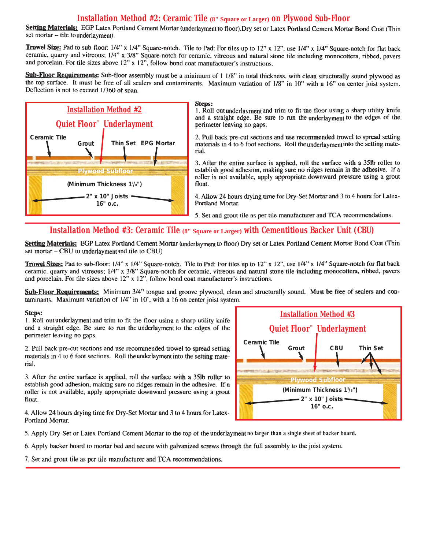# **Installation Method #2: Ceramic Tile (8" Square or Larger) on Plywood Sub-Floor**

Setting Materials: EGP Latex Portland Cement Mortar (underlayment to floor). Dry set or Latex Portland Cement Mortar Bond Coat (Thin set mortar - tile to underlayment).

Trowel Size: Pad to sub-floor: 1/4" x 1/4" Square-notch. Tile to Pad: For tiles up to 12" x 12", use 1/4" x 1/4" Square-notch for flat back ceramic, quarry and vitreous; 1/4" x 3/8" Square-notch for ceramic, vitreous and natural stone tile including monocottera, ribbed, pavers and porcelain. For tile sizes above  $12$ " x  $12$ ", follow bond coat manufacturer's instructions.

Sub-Floor Requirements: Sub-floor assembly must be a minimum of 1 1/8" in total thickness, with clean structurally sound plywood as the top surface. It must be free of all sealers and contaminants. Maximum variation of 1/8" in 10" with a 16" on center joist system. Deflection is not to exceed 1/360 of span.



#### Steps:

1. Roll out underlayment and trim to fit the floor using a sharp utility knife and a straight edge. Be sure to run the underlayment to the edges of the perimeter leaving no gaps.

2. Pull back pre-cut sections and use recommended trowel to spread setting materials in 4 to 6 foot sections. Roll the underlayment into the setting material.

3. After the entire surface is applied, roll the surface with a 35lb roller to establish good adhesion, making sure no ridges remain in the adhesive. If a roller is not available, apply appropriate downward pressure using a grout float.

4. Allow 24 hours drying time for Dry-Set Mortar and 3 to 4 hours for Latex-Portland Mortar.

5. Set and grout tile as per tile manufacturer and TCA recommendations.

# Installation Method #3: Ceramic Tile (8" Square or Larger) with Cementitious Backer Unit (CBU)

Setting Materials: EGP Latex Portland Cement Mortar (underlayment to floor) Dry set or Latex Portland Cement Mortar Bond Coat (Thin set mortar - CBU to underlayment and tile to CBU)

Trowel Sizes: Pad to sub-floor: 1/4" x 1/4" Square-notch. Tile to Pad: For tiles up to 12" x 12", use 1/4" x 1/4" Square-notch for flat back ceramic, quarry and vitreous; 1/4" x 3/8" Square-notch for ceramic, vitreous and natural stone tile including monocottera, ribbed, pavers and porcelain. For tile sizes above 12" x 12", follow bond coat manufacturer's instructions.

Sub-Floor Requirements: Minimum 3/4" tongue and groove plywood, clean and structurally sound. Must be free of sealers and contaminants. Maximum variation of 1/4" in 10', with a 16 on center joist system.

## Steps:

1. Roll out underlayment and trim to fit the floor using a sharp utility knife and a straight edge. Be sure to run the underlayment to the edges of the perimeter leaving no gaps.

2. Pull back pre-cut sections and use recommended trowel to spread setting materials in 4 to 6 foot sections. Roll the underlayment into the setting material.

3. After the entire surface is applied, roll the surface with a 35lb roller to establish good adhesion, making sure no ridges remain in the adhesive. If a roller is not available, apply appropriate downward pressure using a grout float.

4. Allow 24 hours drying time for Dry-Set Mortar and 3 to 4 hours for Latex-Portland Mortar.



5. Apply Dry-Set or Latex Portland Cement Mortar to the top of the underlayment no larger than a single sheet of backer board.

6. Apply backer board to mortar bed and secure with galvanized screws through the full assembly to the joist system.

7. Set and grout tile as per tile manufacturer and TCA recommendations.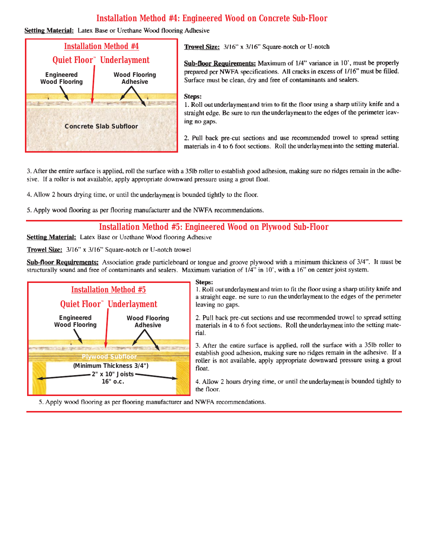# **Installation Method #4: Engineered Wood on Concrete Sub-Floor**

## **Setting Material:** Latex Base or Urethane Wood flooring Adhesive



Trowel Size: 3/16" x 3/16" Square-notch or U-notch

Sub-floor Requirements: Maximum of 1/4" variance in 10', must be properly prepared per NWFA specifications. All cracks in excess of 1/16" must be filled. Surface must be clean, dry and free of contaminants and sealers.

#### Steps:

1. Roll out underlayment and trim to fit the floor using a sharp utility knife and a straight edge. Be sure to run the underlayment to the edges of the perimeter leaving no gaps.

2. Pull back pre-cut sections and use recommended trowel to spread setting materials in 4 to 6 foot sections. Roll the underlayment into the setting material.

3. After the entire surface is applied, roll the surface with a 35lb roller to establish good adhesion, making sure no ridges remain in the adhesive. If a roller is not available, apply appropriate downward pressure using a grout float.

4. Allow 2 hours drying time, or until the underlayment is bounded tightly to the floor.

5. Apply wood flooring as per flooring manufacturer and the NWFA recommendations.

# Installation Method #5: Engineered Wood on Plywood Sub-Floor

**Setting Material:** Latex Base or Urethane Wood flooring Adhesive

Trowel Size: 3/16" x 3/16" Square-notch or U-notch trowel

Sub-floor Requirements: Association grade particleboard or tongue and groove plywood with a minimum thickness of 3/4". It must be structurally sound and free of contaminants and sealers. Maximum variation of 1/4" in 10', with a 16" on center joist system.



## Steps:

1. Roll out underlayment and trim to fit the floor using a sharp utility knife and a straight eage. Be sure to run the underlayment to the edges of the perimeter leaving no gaps.

2. Pull back pre-cut sections and use recommended trowel to spread setting materials in 4 to 6 foot sections. Roll the underlayment into the setting material.

3. After the entire surface is applied, roll the surface with a 35lb roller to establish good adhesion, making sure no ridges remain in the adhesive. If a roller is not available, apply appropriate downward pressure using a grout float.

4. Allow 2 hours drying time, or until the underlayment is bounded tightly to the floor.

5. Apply wood flooring as per flooring manufacturer and NWFA recommendations.